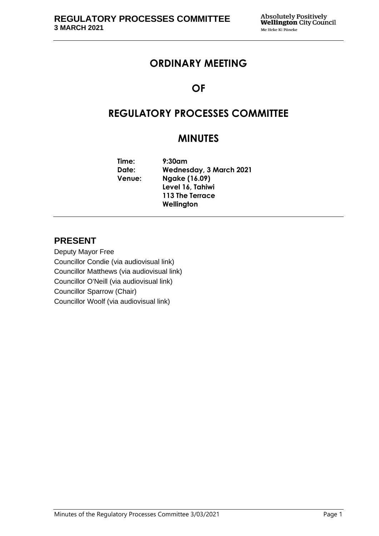## **ORDINARY MEETING**

# **OF**

# **REGULATORY PROCESSES COMMITTEE**

# **MINUTES**

**Time: 9:30am Date: Wednesday, 3 March 2021 Venue: Ngake (16.09) Level 16, Tahiwi 113 The Terrace Wellington**

## **PRESENT**

Deputy Mayor Free Councillor Condie (via audiovisual link) Councillor Matthews (via audiovisual link) Councillor O'Neill (via audiovisual link) Councillor Sparrow (Chair) Councillor Woolf (via audiovisual link)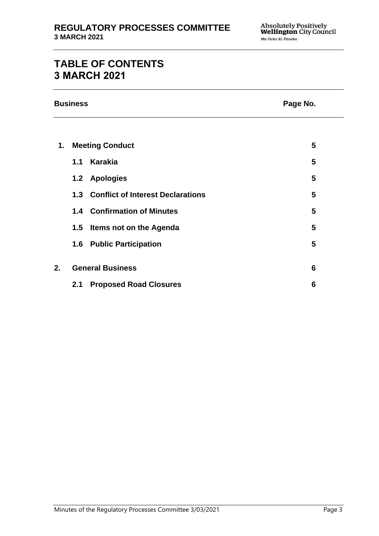# **TABLE OF CONTENTS 3 MARCH 2021**

**Business Page No.**

| 1. | <b>Meeting Conduct</b>  |                                       | 5 |  |
|----|-------------------------|---------------------------------------|---|--|
|    | 1.1                     | Karakia                               | 5 |  |
|    |                         | 1.2 Apologies                         | 5 |  |
|    |                         | 1.3 Conflict of Interest Declarations | 5 |  |
|    |                         | 1.4 Confirmation of Minutes           | 5 |  |
|    | 1.5                     | Items not on the Agenda               | 5 |  |
|    | 1.6                     | <b>Public Participation</b>           | 5 |  |
|    |                         |                                       |   |  |
| 2. | <b>General Business</b> |                                       | 6 |  |
|    | 2.1                     | <b>Proposed Road Closures</b>         | 6 |  |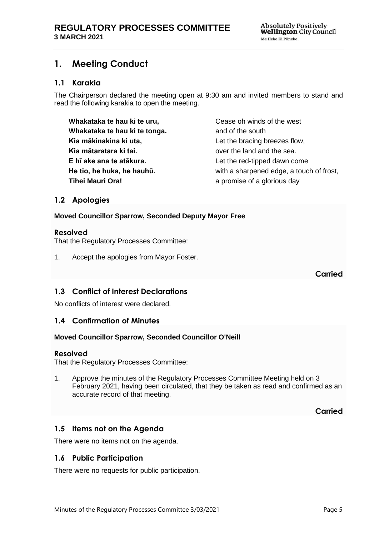## <span id="page-4-0"></span>**1. Meeting Conduct**

### **1.1 Karakia**

The Chairperson declared the meeting open at 9:30 am and invited members to stand and read the following karakia to open the meeting.

**Whakataka te hau ki te uru, Whakataka te hau ki te tonga. Kia mākinakina ki uta, Kia mātaratara ki tai. E hī ake ana te atākura. He tio, he huka, he hauhū. Tihei Mauri Ora!**

Cease oh winds of the west and of the south Let the bracing breezes flow, over the land and the sea. Let the red-tipped dawn come with a sharpened edge, a touch of frost, a promise of a glorious day

### <span id="page-4-1"></span>**1.2 Apologies**

**Moved Councillor Sparrow, Seconded Deputy Mayor Free**

#### **Resolved**

That the Regulatory Processes Committee:

1. Accept the apologies from Mayor Foster.

**Carried**

#### <span id="page-4-2"></span>**1.3 Conflict of Interest Declarations**

No conflicts of interest were declared.

#### <span id="page-4-3"></span>**1.4 Confirmation of Minutes**

#### **Moved Councillor Sparrow, Seconded Councillor O'Neill**

#### **Resolved**

That the Regulatory Processes Committee:

1. Approve the minutes of the Regulatory Processes Committee Meeting held on 3 February 2021, having been circulated, that they be taken as read and confirmed as an accurate record of that meeting.

**Carried**

### <span id="page-4-4"></span>**1.5 Items not on the Agenda**

There were no items not on the agenda.

#### **1.6 Public Participation**

There were no requests for public participation.